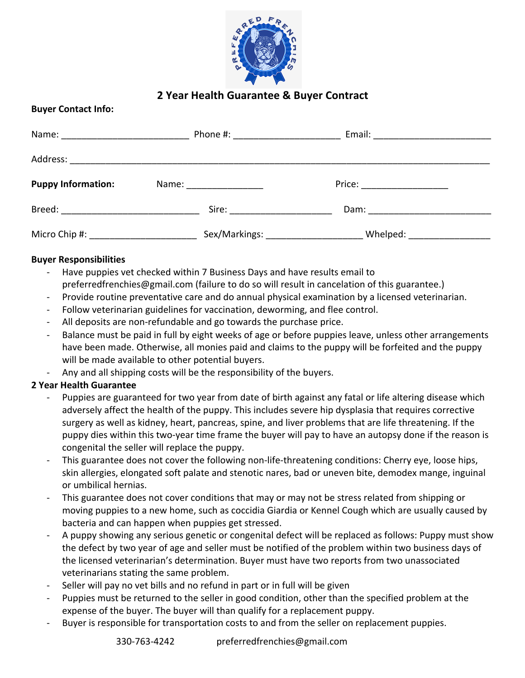

## **2 Year Health Guarantee & Buyer Contract**

## **Buyer Contact Info:**

| Name: ________________________             | Phone #: __________________ | Email: ________________________ |  |
|--------------------------------------------|-----------------------------|---------------------------------|--|
|                                            |                             |                                 |  |
| <b>Puppy Information:</b>                  | Name: ______________        | Price: __________________       |  |
| Breed: __________________________________  |                             |                                 |  |
| Micro Chip #: ____________________________ |                             | Whelped: __________________     |  |

## **Buyer Responsibilities**

- Have puppies vet checked within 7 Business Days and have results email to preferredfrenchies@gmail.com (failure to do so will result in cancelation of this guarantee.)
- Provide routine preventative care and do annual physical examination by a licensed veterinarian.
- Follow veterinarian guidelines for vaccination, deworming, and flee control.
- All deposits are non-refundable and go towards the purchase price.
- Balance must be paid in full by eight weeks of age or before puppies leave, unless other arrangements have been made. Otherwise, all monies paid and claims to the puppy will be forfeited and the puppy will be made available to other potential buyers.
- Any and all shipping costs will be the responsibility of the buyers.

## **2 Year Health Guarantee**

- Puppies are guaranteed for two year from date of birth against any fatal or life altering disease which adversely affect the health of the puppy. This includes severe hip dysplasia that requires corrective surgery as well as kidney, heart, pancreas, spine, and liver problems that are life threatening. If the puppy dies within this two-year time frame the buyer will pay to have an autopsy done if the reason is congenital the seller will replace the puppy.
- This guarantee does not cover the following non-life-threatening conditions: Cherry eye, loose hips, skin allergies, elongated soft palate and stenotic nares, bad or uneven bite, demodex mange, inguinal or umbilical hernias.
- This guarantee does not cover conditions that may or may not be stress related from shipping or moving puppies to a new home, such as coccidia Giardia or Kennel Cough which are usually caused by bacteria and can happen when puppies get stressed.
- A puppy showing any serious genetic or congenital defect will be replaced as follows: Puppy must show the defect by two year of age and seller must be notified of the problem within two business days of the licensed veterinarian's determination. Buyer must have two reports from two unassociated veterinarians stating the same problem.
- Seller will pay no vet bills and no refund in part or in full will be given
- Puppies must be returned to the seller in good condition, other than the specified problem at the expense of the buyer. The buyer will than qualify for a replacement puppy.
- Buyer is responsible for transportation costs to and from the seller on replacement puppies.